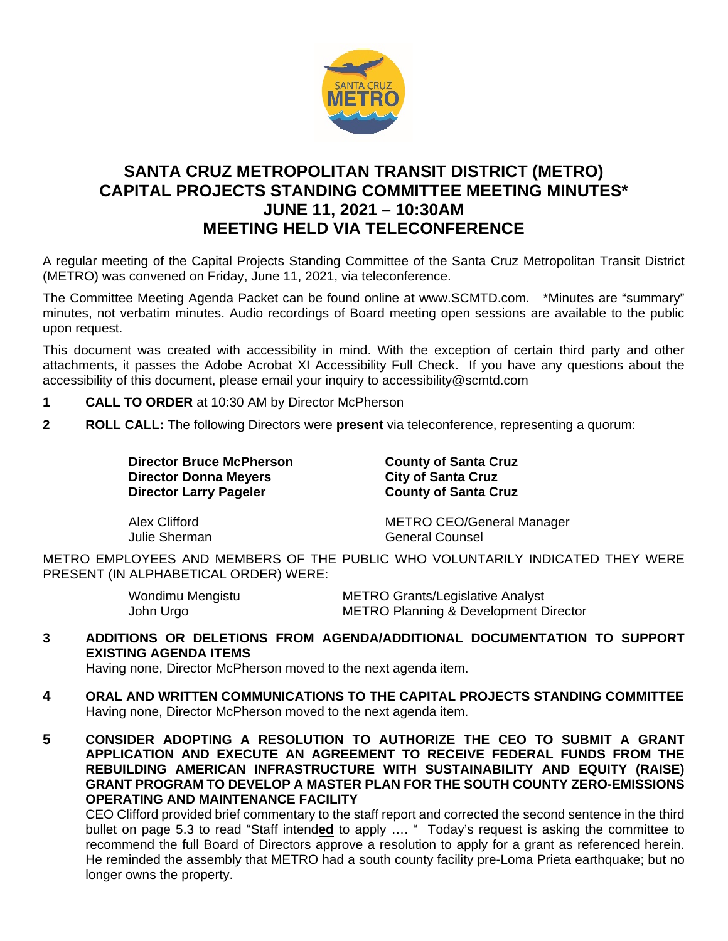

## **SANTA CRUZ METROPOLITAN TRANSIT DISTRICT (METRO) CAPITAL PROJECTS STANDING COMMITTEE MEETING MINUTES\* JUNE 11, 2021 – 10:30AM MEETING HELD VIA TELECONFERENCE**

A regular meeting of the Capital Projects Standing Committee of the Santa Cruz Metropolitan Transit District (METRO) was convened on Friday, June 11, 2021, via teleconference.

The Committee Meeting Agenda Packet can be found online at www.SCMTD.com. \*Minutes are "summary" minutes, not verbatim minutes. Audio recordings of Board meeting open sessions are available to the public upon request.

This document was created with accessibility in mind. With the exception of certain third party and other attachments, it passes the Adobe Acrobat XI Accessibility Full Check. If you have any questions about the accessibility of this document, please email your inquiry to accessibility@scmtd.com

- **1 CALL TO ORDER** at 10:30 AM by Director McPherson
- **2 ROLL CALL:** The following Directors were **present** via teleconference, representing a quorum:

**Director Bruce McPherson County of Santa Cruz Director Donna Meyers City of Santa Cruz<br>
Director Larry Pageler County of Santa Cruz Director Larry Pageler** 

Alex Clifford METRO CEO/General Manager Julie Sherman General Counsel

METRO EMPLOYEES AND MEMBERS OF THE PUBLIC WHO VOLUNTARILY INDICATED THEY WERE PRESENT (IN ALPHABETICAL ORDER) WERE:

| Wondimu Mengistu | <b>METRO Grants/Legislative Analyst</b>          |
|------------------|--------------------------------------------------|
| John Urgo        | <b>METRO Planning &amp; Development Director</b> |

## **3 ADDITIONS OR DELETIONS FROM AGENDA/ADDITIONAL DOCUMENTATION TO SUPPORT EXISTING AGENDA ITEMS**

Having none, Director McPherson moved to the next agenda item.

- **4 ORAL AND WRITTEN COMMUNICATIONS TO THE CAPITAL PROJECTS STANDING COMMITTEE**  Having none, Director McPherson moved to the next agenda item.
- **5 CONSIDER ADOPTING A RESOLUTION TO AUTHORIZE THE CEO TO SUBMIT A GRANT APPLICATION AND EXECUTE AN AGREEMENT TO RECEIVE FEDERAL FUNDS FROM THE REBUILDING AMERICAN INFRASTRUCTURE WITH SUSTAINABILITY AND EQUITY (RAISE) GRANT PROGRAM TO DEVELOP A MASTER PLAN FOR THE SOUTH COUNTY ZERO-EMISSIONS OPERATING AND MAINTENANCE FACILITY**

CEO Clifford provided brief commentary to the staff report and corrected the second sentence in the third bullet on page 5.3 to read "Staff intend**ed** to apply …. " Today's request is asking the committee to recommend the full Board of Directors approve a resolution to apply for a grant as referenced herein. He reminded the assembly that METRO had a south county facility pre-Loma Prieta earthquake; but no longer owns the property.